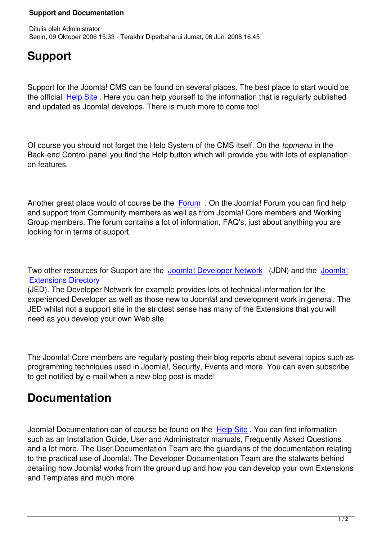## **Support**

Support for the Joomla! CMS can be found on several places. The best place to start would be the official Help Site. Here you can help yourself to the information that is regularly published and updated as Joomla! develops. There is much more to come too!

Of course you should not forget the Help System of the CMS itself. On the *topmenu* in the Back-end Control panel you find the Help button which will provide you with lots of explanation on features.

Another great place would of course be the Forum . On the Joomla! Forum you can find help and support from Community members as well as from Joomla! Core members and Working Group members. The forum contains a lot of information, FAQ's, just about anything you are looking for in terms of support.

Two other resources for Support are the Joomla! Developer Network (JDN) and the Joomla! Extensions Directory

(JED). The Developer Network for example provides lots of technical information for the experienced Developer as well as those [new to Joomla! and developm](http://dev.joomla.org/)ent work in gen[eral. The](http://extensions.joomla.org/) [JED whilst not a supp](http://extensions.joomla.org/)ort site in the strictest sense has many of the Extensions that you will need as you develop your own Web site.

The Joomla! Core members are regularly posting their blog reports about several topics such as programming techniques used in Joomla!, Security, Events and more. You can even subscribe to get notified by e-mail when a new blog post is made!

## **Documentation**

Joomla! Documentation can of course be found on the Help Site . You can find information such as an Installation Guide, User and Administrator manuals, Frequently Asked Questions and a lot more. The User Documentation Team are the guardians of the documentation relating to the practical use of Joomla!. The Developer Docume[ntation Te](http://help.joomla.org/)am are the stalwarts behind detailing how Joomla! works from the ground up and how you can develop your own Extensions and Templates and much more.